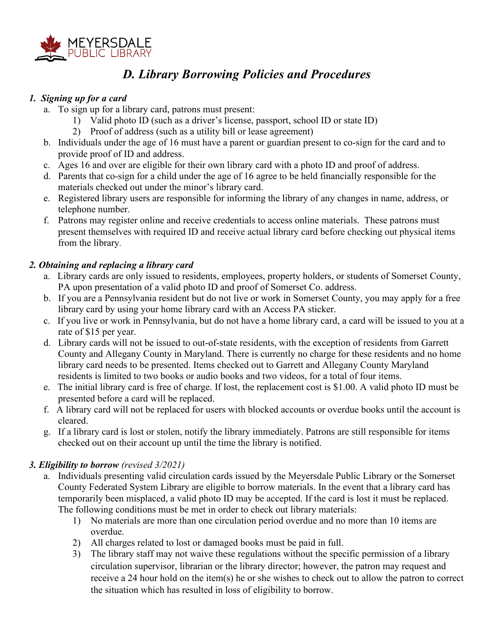

# *D. Library Borrowing Policies and Procedures*

# *1. Signing up for a card*

- a. To sign up for a library card, patrons must present:
	- 1) Valid photo ID (such as a driver's license, passport, school ID or state ID)
	- 2) Proof of address (such as a utility bill or lease agreement)
- b. Individuals under the age of 16 must have a parent or guardian present to co-sign for the card and to provide proof of ID and address.
- c. Ages 16 and over are eligible for their own library card with a photo ID and proof of address.
- d. Parents that co-sign for a child under the age of 16 agree to be held financially responsible for the materials checked out under the minor's library card.
- e. Registered library users are responsible for informing the library of any changes in name, address, or telephone number.
- f. Patrons may register online and receive credentials to access online materials. These patrons must present themselves with required ID and receive actual library card before checking out physical items from the library.

#### *2. Obtaining and replacing a library card*

- a. Library cards are only issued to residents, employees, property holders, or students of Somerset County, PA upon presentation of a valid photo ID and proof of Somerset Co. address.
- b. If you are a Pennsylvania resident but do not live or work in Somerset County, you may apply for a free library card by using your home library card with an Access PA sticker.
- c. If you live or work in Pennsylvania, but do not have a home library card, a card will be issued to you at a rate of \$15 per year.
- d. Library cards will not be issued to out-of-state residents, with the exception of residents from Garrett County and Allegany County in Maryland. There is currently no charge for these residents and no home library card needs to be presented. Items checked out to Garrett and Allegany County Maryland residents is limited to two books or audio books and two videos, for a total of four items.
- e. The initial library card is free of charge. If lost, the replacement cost is \$1.00. A valid photo ID must be presented before a card will be replaced.
- f. A library card will not be replaced for users with blocked accounts or overdue books until the account is cleared.
- g. If a library card is lost or stolen, notify the library immediately. Patrons are still responsible for items checked out on their account up until the time the library is notified.

# *3. Eligibility to borrow (revised 3/2021)*

- a. Individuals presenting valid circulation cards issued by the Meyersdale Public Library or the Somerset County Federated System Library are eligible to borrow materials. In the event that a library card has temporarily been misplaced, a valid photo ID may be accepted. If the card is lost it must be replaced. The following conditions must be met in order to check out library materials:
	- 1) No materials are more than one circulation period overdue and no more than 10 items are overdue.
	- 2) All charges related to lost or damaged books must be paid in full.
	- 3) The library staff may not waive these regulations without the specific permission of a library circulation supervisor, librarian or the library director; however, the patron may request and receive a 24 hour hold on the item(s) he or she wishes to check out to allow the patron to correct the situation which has resulted in loss of eligibility to borrow.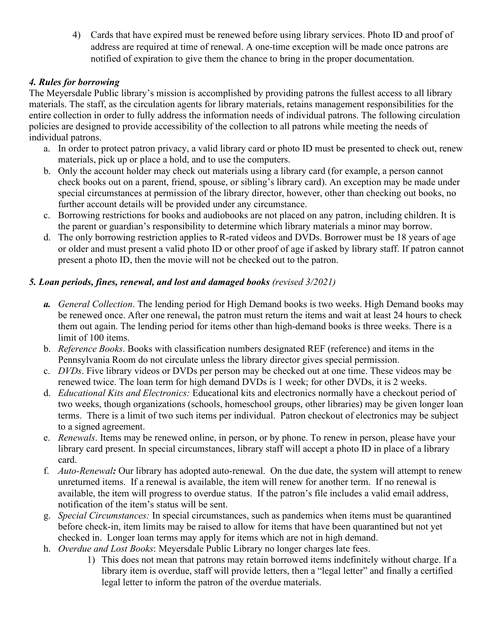4) Cards that have expired must be renewed before using library services. Photo ID and proof of address are required at time of renewal. A one-time exception will be made once patrons are notified of expiration to give them the chance to bring in the proper documentation.

# *4. Rules for borrowing*

The Meyersdale Public library's mission is accomplished by providing patrons the fullest access to all library materials. The staff, as the circulation agents for library materials, retains management responsibilities for the entire collection in order to fully address the information needs of individual patrons. The following circulation policies are designed to provide accessibility of the collection to all patrons while meeting the needs of individual patrons.

- a. In order to protect patron privacy, a valid library card or photo ID must be presented to check out, renew materials, pick up or place a hold, and to use the computers.
- b. Only the account holder may check out materials using a library card (for example, a person cannot check books out on a parent, friend, spouse, or sibling's library card). An exception may be made under special circumstances at permission of the library director, however, other than checking out books, no further account details will be provided under any circumstance.
- c. Borrowing restrictions for books and audiobooks are not placed on any patron, including children. It is the parent or guardian's responsibility to determine which library materials a minor may borrow.
- d. The only borrowing restriction applies to R-rated videos and DVDs. Borrower must be 18 years of age or older and must present a valid photo ID or other proof of age if asked by library staff. If patron cannot present a photo ID, then the movie will not be checked out to the patron.

# *5. Loan periods, fines, renewal, and lost and damaged books (revised 3/2021)*

- *a. General Collection*. The lending period for High Demand books is two weeks. High Demand books may be renewed once. After one renewal, the patron must return the items and wait at least 24 hours to check them out again. The lending period for items other than high-demand books is three weeks. There is a limit of 100 items.
- b. *Reference Books*. Books with classification numbers designated REF (reference) and items in the Pennsylvania Room do not circulate unless the library director gives special permission.
- c. *DVDs*. Five library videos or DVDs per person may be checked out at one time. These videos may be renewed twice. The loan term for high demand DVDs is 1 week; for other DVDs, it is 2 weeks.
- d. *Educational Kits and Electronics:* Educational kits and electronics normally have a checkout period of two weeks, though organizations (schools, homeschool groups, other libraries) may be given longer loan terms. There is a limit of two such items per individual. Patron checkout of electronics may be subject to a signed agreement.
- e. *Renewals*. Items may be renewed online, in person, or by phone. To renew in person, please have your library card present. In special circumstances, library staff will accept a photo ID in place of a library card.
- f. *Auto-Renewal:* Our library has adopted auto-renewal. On the due date, the system will attempt to renew unreturned items. If a renewal is available, the item will renew for another term. If no renewal is available, the item will progress to overdue status. If the patron's file includes a valid email address, notification of the item's status will be sent.
- g. *Special Circumstances:* In special circumstances, such as pandemics when items must be quarantined before check-in, item limits may be raised to allow for items that have been quarantined but not yet checked in. Longer loan terms may apply for items which are not in high demand.
- h. *Overdue and Lost Books*: Meyersdale Public Library no longer charges late fees.
	- 1) This does not mean that patrons may retain borrowed items indefinitely without charge. If a library item is overdue, staff will provide letters, then a "legal letter" and finally a certified legal letter to inform the patron of the overdue materials.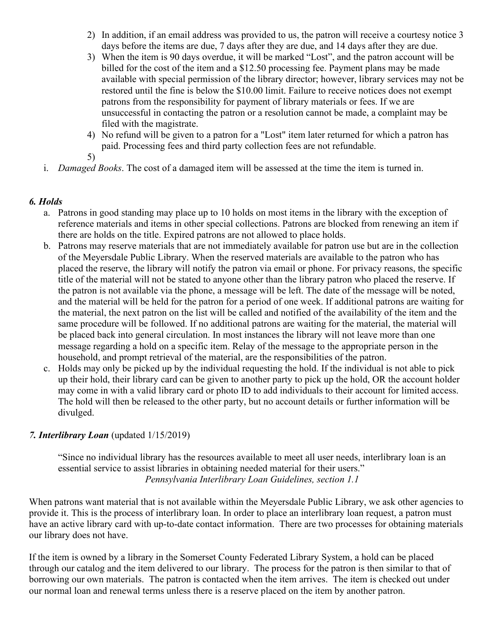- 2) In addition, if an email address was provided to us, the patron will receive a courtesy notice 3 days before the items are due, 7 days after they are due, and 14 days after they are due.
- 3) When the item is 90 days overdue, it will be marked "Lost", and the patron account will be billed for the cost of the item and a \$12.50 processing fee. Payment plans may be made available with special permission of the library director; however, library services may not be restored until the fine is below the \$10.00 limit. Failure to receive notices does not exempt patrons from the responsibility for payment of library materials or fees. If we are unsuccessful in contacting the patron or a resolution cannot be made, a complaint may be filed with the magistrate.
- 4) No refund will be given to a patron for a "Lost" item later returned for which a patron has paid. Processing fees and third party collection fees are not refundable.
- 5)
- i. *Damaged Books*. The cost of a damaged item will be assessed at the time the item is turned in.

#### *6. Holds*

- a. Patrons in good standing may place up to 10 holds on most items in the library with the exception of reference materials and items in other special collections. Patrons are blocked from renewing an item if there are holds on the title. Expired patrons are not allowed to place holds.
- b. Patrons may reserve materials that are not immediately available for patron use but are in the collection of the Meyersdale Public Library. When the reserved materials are available to the patron who has placed the reserve, the library will notify the patron via email or phone. For privacy reasons, the specific title of the material will not be stated to anyone other than the library patron who placed the reserve. If the patron is not available via the phone, a message will be left. The date of the message will be noted, and the material will be held for the patron for a period of one week. If additional patrons are waiting for the material, the next patron on the list will be called and notified of the availability of the item and the same procedure will be followed. If no additional patrons are waiting for the material, the material will be placed back into general circulation. In most instances the library will not leave more than one message regarding a hold on a specific item. Relay of the message to the appropriate person in the household, and prompt retrieval of the material, are the responsibilities of the patron.
- c. Holds may only be picked up by the individual requesting the hold. If the individual is not able to pick up their hold, their library card can be given to another party to pick up the hold, OR the account holder may come in with a valid library card or photo ID to add individuals to their account for limited access. The hold will then be released to the other party, but no account details or further information will be divulged.

#### *7. Interlibrary Loan* (updated 1/15/2019)

"Since no individual library has the resources available to meet all user needs, interlibrary loan is an essential service to assist libraries in obtaining needed material for their users." *Pennsylvania Interlibrary Loan Guidelines, section 1.1*

When patrons want material that is not available within the Meyersdale Public Library, we ask other agencies to provide it. This is the process of interlibrary loan. In order to place an interlibrary loan request, a patron must have an active library card with up-to-date contact information. There are two processes for obtaining materials our library does not have.

If the item is owned by a library in the Somerset County Federated Library System, a hold can be placed through our catalog and the item delivered to our library. The process for the patron is then similar to that of borrowing our own materials. The patron is contacted when the item arrives. The item is checked out under our normal loan and renewal terms unless there is a reserve placed on the item by another patron.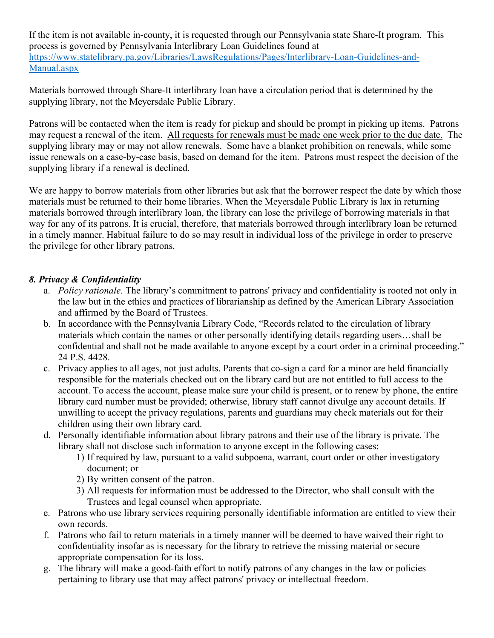If the item is not available in-county, it is requested through our Pennsylvania state Share-It program. This process is governed by Pennsylvania Interlibrary Loan Guidelines found at [https://www.statelibrary.pa.gov/Libraries/LawsRegulations/Pages/Interlibrary-Loan-Guidelines-and-](https://www.statelibrary.pa.gov/Libraries/LawsRegulations/Pages/Interlibrary-Loan-Guidelines-and-Manual.aspx)[Manual.aspx](https://www.statelibrary.pa.gov/Libraries/LawsRegulations/Pages/Interlibrary-Loan-Guidelines-and-Manual.aspx)

Materials borrowed through Share-It interlibrary loan have a circulation period that is determined by the supplying library, not the Meyersdale Public Library.

Patrons will be contacted when the item is ready for pickup and should be prompt in picking up items. Patrons may request a renewal of the item. All requests for renewals must be made one week prior to the due date. The supplying library may or may not allow renewals. Some have a blanket prohibition on renewals, while some issue renewals on a case-by-case basis, based on demand for the item. Patrons must respect the decision of the supplying library if a renewal is declined.

We are happy to borrow materials from other libraries but ask that the borrower respect the date by which those materials must be returned to their home libraries. When the Meyersdale Public Library is lax in returning materials borrowed through interlibrary loan, the library can lose the privilege of borrowing materials in that way for any of its patrons. It is crucial, therefore, that materials borrowed through interlibrary loan be returned in a timely manner. Habitual failure to do so may result in individual loss of the privilege in order to preserve the privilege for other library patrons.

# *8. Privacy & Confidentiality*

- a. *Policy rationale.* The library's commitment to patrons' privacy and confidentiality is rooted not only in the law but in the ethics and practices of librarianship as defined by the American Library Association and affirmed by the Board of Trustees.
- b. In accordance with the Pennsylvania Library Code, "Records related to the circulation of library materials which contain the names or other personally identifying details regarding users…shall be confidential and shall not be made available to anyone except by a court order in a criminal proceeding." 24 P.S. 4428.
- c. Privacy applies to all ages, not just adults. Parents that co-sign a card for a minor are held financially responsible for the materials checked out on the library card but are not entitled to full access to the account. To access the account, please make sure your child is present, or to renew by phone, the entire library card number must be provided; otherwise, library staff cannot divulge any account details. If unwilling to accept the privacy regulations, parents and guardians may check materials out for their children using their own library card.
- d. Personally identifiable information about library patrons and their use of the library is private. The library shall not disclose such information to anyone except in the following cases:
	- 1) If required by law, pursuant to a valid subpoena, warrant, court order or other investigatory document; or
	- 2) By written consent of the patron.
	- 3) All requests for information must be addressed to the Director, who shall consult with the Trustees and legal counsel when appropriate.
- e. Patrons who use library services requiring personally identifiable information are entitled to view their own records.
- f. Patrons who fail to return materials in a timely manner will be deemed to have waived their right to confidentiality insofar as is necessary for the library to retrieve the missing material or secure appropriate compensation for its loss.
- g. The library will make a good-faith effort to notify patrons of any changes in the law or policies pertaining to library use that may affect patrons' privacy or intellectual freedom.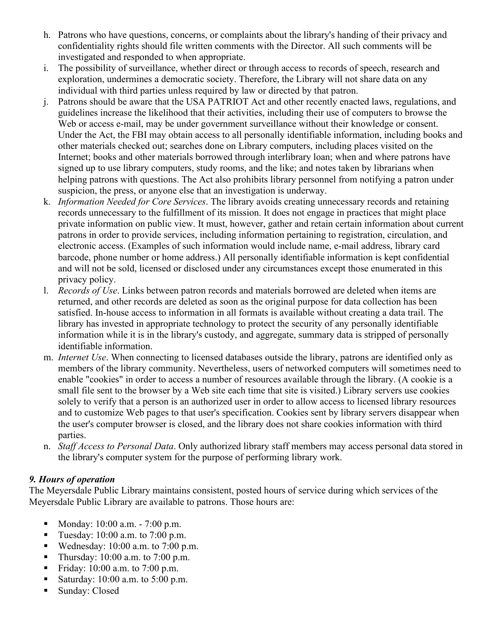- h. Patrons who have questions, concerns, or complaints about the library's handing of their privacy and confidentiality rights should file written comments with the Director. All such comments will be investigated and responded to when appropriate.
- i. The possibility of surveillance, whether direct or through access to records of speech, research and exploration, undermines a democratic society. Therefore, the Library will not share data on any individual with third parties unless required by law or directed by that patron.
- j. Patrons should be aware that the USA PATRIOT Act and other recently enacted laws, regulations, and guidelines increase the likelihood that their activities, including their use of computers to browse the Web or access e-mail, may be under government surveillance without their knowledge or consent. Under the Act, the FBI may obtain access to all personally identifiable information, including books and other materials checked out; searches done on Library computers, including places visited on the Internet; books and other materials borrowed through interlibrary loan; when and where patrons have signed up to use library computers, study rooms, and the like; and notes taken by librarians when helping patrons with questions. The Act also prohibits library personnel from notifying a patron under suspicion, the press, or anyone else that an investigation is underway.
- k. *Information Needed for Core Services*. The library avoids creating unnecessary records and retaining records unnecessary to the fulfillment of its mission. It does not engage in practices that might place private information on public view. It must, however, gather and retain certain information about current patrons in order to provide services, including information pertaining to registration, circulation, and electronic access. (Examples of such information would include name, e-mail address, library card barcode, phone number or home address.) All personally identifiable information is kept confidential and will not be sold, licensed or disclosed under any circumstances except those enumerated in this privacy policy.
- l. *Records of Use*. Links between patron records and materials borrowed are deleted when items are returned, and other records are deleted as soon as the original purpose for data collection has been satisfied. In-house access to information in all formats is available without creating a data trail. The library has invested in appropriate technology to protect the security of any personally identifiable information while it is in the library's custody, and aggregate, summary data is stripped of personally identifiable information.
- m. *Internet Use*. When connecting to licensed databases outside the library, patrons are identified only as members of the library community. Nevertheless, users of networked computers will sometimes need to enable "cookies" in order to access a number of resources available through the library. (A cookie is a small file sent to the browser by a Web site each time that site is visited.) Library servers use cookies solely to verify that a person is an authorized user in order to allow access to licensed library resources and to customize Web pages to that user's specification. Cookies sent by library servers disappear when the user's computer browser is closed, and the library does not share cookies information with third parties.
- n. *Staff Access to Personal Data*. Only authorized library staff members may access personal data stored in the library's computer system for the purpose of performing library work.

# *9. Hours of operation*

The Meyersdale Public Library maintains consistent, posted hours of service during which services of the Meyersdale Public Library are available to patrons. Those hours are:

- Monday: 10:00 a.m. 7:00 p.m.
- Tuesday:  $10:00$  a.m. to  $7:00$  p.m.
- Wednesday: 10:00 a.m. to 7:00 p.m.
- Thursday: 10:00 a.m. to 7:00 p.m.
- Friday:  $10:00$  a.m. to  $7:00$  p.m.
- Saturday:  $10:00$  a.m. to  $5:00$  p.m.
- **Sunday: Closed**